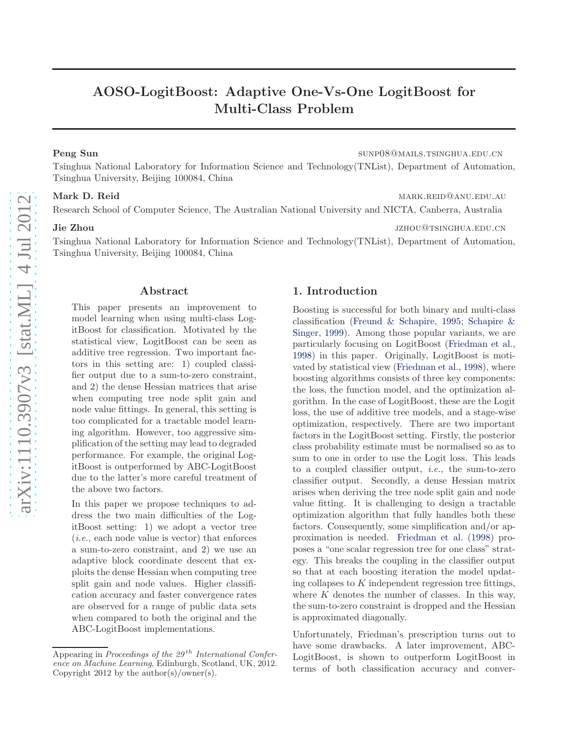# AOSO-LogitBoost: Adaptive One-Vs-One LogitBoost for Multi-Class Problem

Peng Sun sunp08@mails.tsinghua.edu.cn

Tsinghua National Laboratory for Information Science and Technology(TNList), Department of Automation, Tsinghua University, Beijing 100084, China

Mark D. Reid marketing marketing and marketing marketing marketing marketing marketing marketing marketing marketing marketing marketing marketing marketing marketing marketing marketing marketing marketing marketing marke

Research School of Computer Science, The Australian National University and NICTA, Canberra, Australia

#### **Jie Zhou** jzhou@tsinghua.edu.cn

Tsinghua National Laboratory for Information Science and Technology(TNList), Department of Automation, Tsinghua University, Beijing 100084, China

### Abstract

This paper presents an improvement to model learning when using multi-class LogitBoost for classification. Motivated by the statistical view, LogitBoost can be seen as additive tree regression. Two important factors in this setting are: 1) coupled classifier output due to a sum-to-zero constraint, and 2) the dense Hessian matrices that arise when computing tree node split gain and node value fittings. In general, this setting is too complicated for a tractable model learning algorithm. However, too aggressive simplification of the setting may lead to degraded performance. For example, the original LogitBoost is outperformed by ABC-LogitBoost due to the latter's more careful treatment of the above two factors.

In this paper we propose techniques to address the two main difficulties of the LogitBoost setting: 1) we adopt a vector tree (i.e., each node value is vector) that enforces a sum-to-zero constraint, and 2) we use an adaptive block coordinate descent that exploits the dense Hessian when computing tree split gain and node values. Higher classification accuracy and faster convergence rates are observed for a range of public data sets when compared to both the original and the ABC-LogitBoost implementations.

# 1. Introduction

Boosting is successful for both binary and multi-class classi[fication \(Freund & Schapire,](#page-7-0) [1995](#page-7-0); Schapire & Singer, [1999](#page-7-0)). Among those popular variants, we are particularly focusing on LogitBoost [\(Friedman et al.,](#page-7-0) [1998\)](#page-7-0) in this paper. Originally, LogitBoost is motivated by statistical view [\(Friedman et al.,](#page-7-0) [1998](#page-7-0)), where boosting algorithms consists of three key components: the loss, the function model, and the optimization algorithm. In the case of LogitBoost, these are the Logit loss, the use of additive tree models, and a stage-wise optimization, respectively. There are two important factors in the LogitBoost setting. Firstly, the posterior class probability estimate must be normalised so as to sum to one in order to use the Logit loss. This leads to a coupled classifier output, *i.e.*, the sum-to-zero classifier output. Secondly, a dense Hessian matrix arises when deriving the tree node split gain and node value fitting. It is challenging to design a tractable optimization algorithm that fully handles both these factors. Consequently, some simplification and/or approximation is needed. [Friedman et al.](#page-7-0) [\(1998](#page-7-0)) proposes a "one scalar regression tree for one class" strategy. This breaks the coupling in the classifier output so that at each boosting iteration the model updating collapses to  $K$  independent regression tree fittings, where  $K$  denotes the number of classes. In this way, the sum-to-zero constraint is dropped and the Hessian is approximated diagonally.

Unfortunately, Friedman's prescription turns out to have some drawbacks. A later improvement, ABC-LogitBoost, is shown to outperform LogitBoost in terms of both classification accuracy and conver-

Appearing in *Proceedings of the 29<sup>th</sup> International Conference on Machine Learning*, Edinburgh, Scotland, UK, 2012. Copyright 2012 by the author(s)/owner(s).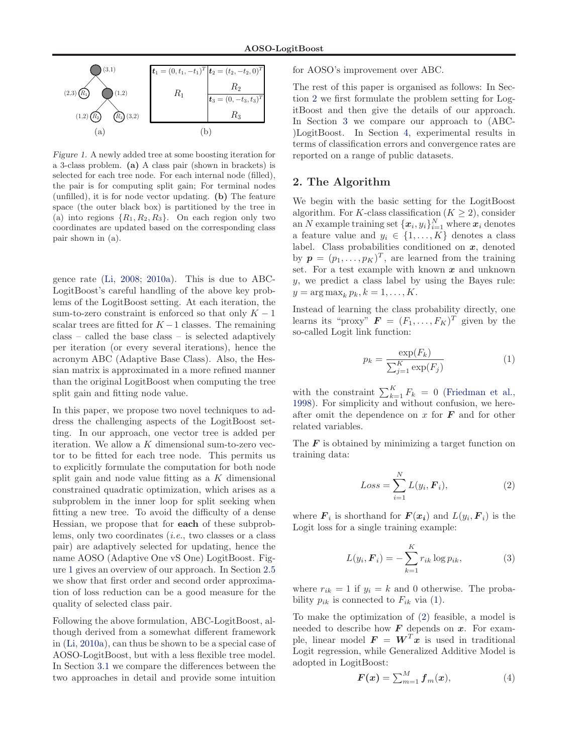<span id="page-1-0"></span>

Figure 1. A newly added tree at some boosting iteration for a 3-class problem. (a) A class pair (shown in brackets) is selected for each tree node. For each internal node (filled), the pair is for computing split gain; For terminal nodes (unfilled), it is for node vector updating. (b) The feature space (the outer black box) is partitioned by the tree in (a) into regions  $\{R_1, R_2, R_3\}$ . On each region only two coordinates are updated based on the corresponding class pair shown in (a).

gence rate [\(Li,](#page-7-0) [2008;](#page-7-0) [2010a](#page-7-0)). This is due to ABC-LogitBoost's careful handling of the above key problems of the LogitBoost setting. At each iteration, the sum-to-zero constraint is enforced so that only  $K - 1$ scalar trees are fitted for  $K-1$  classes. The remaining class – called the base class – is selected adaptively per iteration (or every several iterations), hence the acronym ABC (Adaptive Base Class). Also, the Hessian matrix is approximated in a more refined manner than the original LogitBoost when computing the tree split gain and fitting node value.

In this paper, we propose two novel techniques to address the challenging aspects of the LogitBoost setting. In our approach, one vector tree is added per iteration. We allow a  $K$  dimensional sum-to-zero vector to be fitted for each tree node. This permits us to explicitly formulate the computation for both node split gain and node value fitting as a  $K$  dimensional constrained quadratic optimization, which arises as a subproblem in the inner loop for split seeking when fitting a new tree. To avoid the difficulty of a dense Hessian, we propose that for each of these subproblems, only two coordinates (i.e., two classes or a class pair) are adaptively selected for updating, hence the name AOSO (Adaptive One vS One) LogitBoost. Figure 1 gives an overview of our approach. In Section [2.5](#page-4-0) we show that first order and second order approximation of loss reduction can be a good measure for the quality of selected class pair.

Following the above formulation, ABC-LogitBoost, although derived from a somewhat different framework in [\(Li,](#page-7-0) [2010a](#page-7-0)), can thus be shown to be a special case of AOSO-LogitBoost, but with a less flexible tree model. In Section [3.1](#page-4-0) we compare the differences between the two approaches in detail and provide some intuition

for AOSO's improvement over ABC.

The rest of this paper is organised as follows: In Section 2 we first formulate the problem setting for LogitBoost and then give the details of our approach. In Section [3](#page-4-0) we compare our approach to (ABC- )LogitBoost. In Section [4,](#page-5-0) experimental results in terms of classification errors and convergence rates are reported on a range of public datasets.

# 2. The Algorithm

We begin with the basic setting for the LogitBoost algorithm. For K-class classification ( $K \geq 2$ ), consider an N example training set  $\{\boldsymbol{x}_i, y_i\}_{i=1}^N$  where  $\boldsymbol{x}_i$  denotes a feature value and  $y_i \in \{1, ..., K\}$  denotes a class label. Class probabilities conditioned on  $x$ , denoted by  $\mathbf{p} = (p_1, \ldots, p_K)^T$ , are learned from the training set. For a test example with known  $x$  and unknown  $y$ , we predict a class label by using the Bayes rule:  $y = \arg \max_k p_k, k = 1, \ldots, K.$ 

Instead of learning the class probability directly, one learns its "proxy"  $\mathbf{F} = (F_1, \ldots, F_K)^T$  given by the so-called Logit link function:

$$
p_k = \frac{\exp(F_k)}{\sum_{j=1}^K \exp(F_j)}\tag{1}
$$

with the constraint  $\sum_{k=1}^{K} F_k = 0$  [\(Friedman et al.,](#page-7-0) [1998\)](#page-7-0). For simplicity and without confusion, we hereafter omit the dependence on  $x$  for  $\boldsymbol{F}$  and for other related variables.

The  $\bm{F}$  is obtained by minimizing a target function on training data:

$$
Loss = \sum_{i=1}^{N} L(y_i, \boldsymbol{F}_i), \qquad (2)
$$

where  $\boldsymbol{F}_i$  is shorthand for  $\boldsymbol{F}(\boldsymbol{x_i})$  and  $L(y_i, \boldsymbol{F}_i)$  is the Logit loss for a single training example:

$$
L(y_i, \boldsymbol{F}_i) = -\sum_{k=1}^{K} r_{ik} \log p_{ik}, \qquad (3)
$$

where  $r_{ik} = 1$  if  $y_i = k$  and 0 otherwise. The probability  $p_{ik}$  is connected to  $F_{ik}$  via (1).

To make the optimization of (2) feasible, a model is needed to describe how  $\boldsymbol{F}$  depends on  $\boldsymbol{x}$ . For example, linear model  $\mathbf{F} = \mathbf{W}^T \mathbf{x}$  is used in traditional Logit regression, while Generalized Additive Model is adopted in LogitBoost:

$$
\boldsymbol{F}(\boldsymbol{x}) = \sum_{m=1}^{M} \boldsymbol{f}_m(\boldsymbol{x}), \tag{4}
$$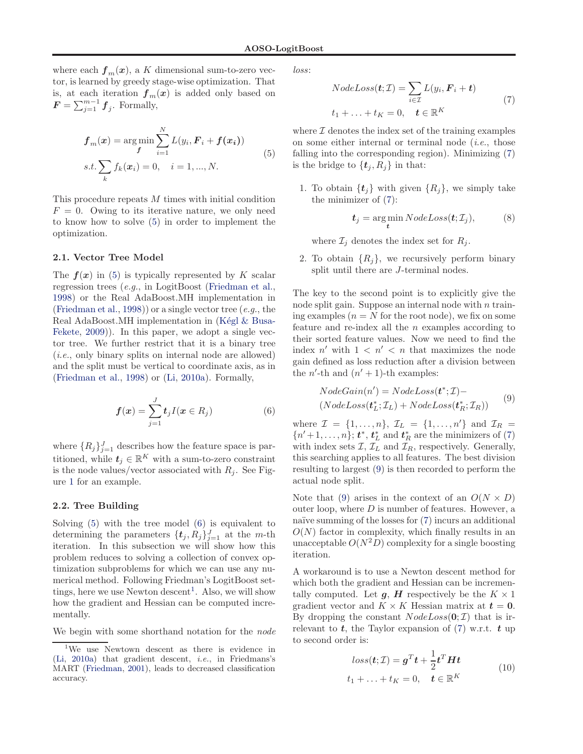<span id="page-2-0"></span>where each  $f_m(x)$ , a K dimensional sum-to-zero vector, is learned by greedy stage-wise optimization. That is, at each iteration  $f_m(x)$  is added only based on  $\boldsymbol{F} = \sum_{j=1}^{m-1} \boldsymbol{f}_j$ . Formally,

$$
f_m(x) = \arg\min_{f} \sum_{i=1}^{N} L(y_i, \mathbf{F}_i + f(x_i))
$$
  
s.t.  $\sum_{k} f_k(x_i) = 0, \quad i = 1, ..., N.$  (5)

This procedure repeats M times with initial condition  $F = 0$ . Owing to its iterative nature, we only need to know how to solve (5) in order to implement the optimization.

#### 2.1. Vector Tree Model

The  $f(x)$  in (5) is typically represented by K scalar regression trees (e.g., in LogitBoost [\(Friedman et al.,](#page-7-0) [1998\)](#page-7-0) or the Real AdaBoost.MH implementation in [\(Friedman et al.,](#page-7-0) [1998\)](#page-7-0)) or a single vector tree (e.g., the Real AdaBoost.MH implementation in  $(Kégl & Busa-$ Fekete, [2009](#page-7-0))). In this paper, we adopt a single vector tree. We further restrict that it is a binary tree (i.e., only binary splits on internal node are allowed) and the split must be vertical to coordinate axis, as in [\(Friedman et al.](#page-7-0), [1998](#page-7-0)) or [\(Li](#page-7-0), [2010a\)](#page-7-0). Formally,

$$
\boldsymbol{f}(\boldsymbol{x}) = \sum_{j=1}^{J} t_j I(\boldsymbol{x} \in R_j) \tag{6}
$$

where  $\{R_j\}_{j=1}^J$  describes how the feature space is partitioned, while  $t_j \in \mathbb{R}^K$  with a sum-to-zero constraint is the node values/vector associated with  $R_i$ . See Figure [1](#page-1-0) for an example.

### 2.2. Tree Building

Solving (5) with the tree model (6) is equivalent to determining the parameters  $\{t_j, R_j\}_{j=1}^J$  at the *m*-th iteration. In this subsection we will show how this problem reduces to solving a collection of convex optimization subproblems for which we can use any numerical method. Following Friedman's LogitBoost settings, here we use Newton descent<sup>1</sup>. Also, we will show how the gradient and Hessian can be computed incrementally.

We begin with some shorthand notation for the *node* 

loss:

$$
NodeLoss(\boldsymbol{t}; \mathcal{I}) = \sum_{i \in \mathcal{I}} L(y_i, \boldsymbol{F}_i + \boldsymbol{t})
$$
  

$$
t_1 + \ldots + t_K = 0, \quad \boldsymbol{t} \in \mathbb{R}^K
$$
 (7)

where  $\mathcal I$  denotes the index set of the training examples on some either internal or terminal node  $(i.e.,$  those falling into the corresponding region). Minimizing (7) is the bridge to  $\{t_i, R_i\}$  in that:

1. To obtain  $\{t_i\}$  with given  $\{R_i\}$ , we simply take the minimizer of (7):

$$
t_j = \underset{t}{\arg\min} \, NodeLoss(t; \mathcal{I}_j), \tag{8}
$$

where  $\mathcal{I}_i$  denotes the index set for  $R_i$ .

2. To obtain  $\{R_i\}$ , we recursively perform binary split until there are J-terminal nodes.

The key to the second point is to explicitly give the node split gain. Suppose an internal node with  $n \text{ train}$ ing examples  $(n = N$  for the root node), we fix on some feature and re-index all the  $n$  examples according to their sorted feature values. Now we need to find the index  $n'$  with  $1 \lt n' \lt n$  that maximizes the node gain defined as loss reduction after a division between the  $n'$ -th and  $(n' + 1)$ -th examples:

$$
NodeGain(n') = NodeLoss(t^*; \mathcal{I}) - (NodeLoss(t^*_{\mathcal{I}}; \mathcal{I}_{\mathcal{L}}) + NodeLoss(t^*_{\mathcal{R}}; \mathcal{I}_{\mathcal{R}}))
$$
(9)

where  $\mathcal{I} = \{1, \ldots, n\}, \mathcal{I}_L = \{1, \ldots, n'\}$  and  $\mathcal{I}_R =$  $\{n'+1,\ldots,n\}$ ;  $t^*, t^*$  and  $t^*_R$  are the minimizers of (7) with index sets  $\mathcal{I}, \mathcal{I}_L$  and  $\mathcal{I}_R$ , respectively. Generally, this searching applies to all features. The best division resulting to largest (9) is then recorded to perform the actual node split.

Note that (9) arises in the context of an  $O(N \times D)$ outer loop, where  $D$  is number of features. However, a naïve summing of the losses for  $(7)$  incurs an additional  $O(N)$  factor in complexity, which finally results in an unacceptable  $O(N^2D)$  complexity for a single boosting iteration.

A workaround is to use a Newton descent method for which both the gradient and Hessian can be incrementally computed. Let  $g$ ,  $H$  respectively be the  $K \times 1$ gradient vector and  $K \times K$  Hessian matrix at  $t = 0$ . By dropping the constant  $NodeLoss(0;\mathcal{I})$  that is irrelevant to  $t$ , the Taylor expansion of (7) w.r.t.  $t$  up to second order is:

$$
loss(t; \mathcal{I}) = \boldsymbol{g}^T \boldsymbol{t} + \frac{1}{2} \boldsymbol{t}^T \boldsymbol{H} \boldsymbol{t}
$$
  

$$
t_1 + \dots + t_K = 0, \quad \boldsymbol{t} \in \mathbb{R}^K
$$
 (10)

<sup>&</sup>lt;sup>1</sup>We use Newtown descent as there is evidence in [\(Li](#page-7-0), [2010a](#page-7-0)) that gradient descent, *i.e.*, in Friedmans's MART [\(Friedman](#page-7-0), [2001](#page-7-0)), leads to decreased classification accuracy.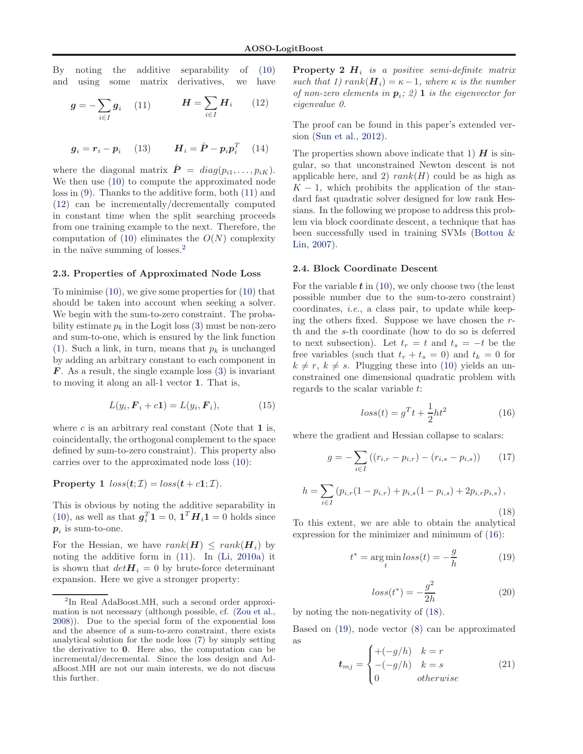<span id="page-3-0"></span>By noting the additive separability of [\(10\)](#page-2-0) and using some matrix derivatives, we have

$$
\boldsymbol{g} = -\sum_{i \in I} \boldsymbol{g}_i \quad (11) \qquad \boldsymbol{H} = \sum_{i \in I} \boldsymbol{H}_i \quad (12)
$$

$$
\boldsymbol{g}_i = \boldsymbol{r}_i - \boldsymbol{p}_i \quad (13) \qquad \boldsymbol{H}_i = \hat{\boldsymbol{P}} - \boldsymbol{p}_i \boldsymbol{p}_i^T \quad (14)
$$

where the diagonal matrix  $\hat{\boldsymbol{P}} = diag(p_{i1}, \ldots, p_{iK}).$ We then use [\(10\)](#page-2-0) to compute the approximated node loss in [\(9\)](#page-2-0). Thanks to the additive form, both (11) and (12) can be incrementally/decrementally computed in constant time when the split searching proceeds from one training example to the next. Therefore, the computation of  $(10)$  eliminates the  $O(N)$  complexity in the naïve summing of losses. $<sup>2</sup>$ </sup>

#### 2.3. Properties of Approximated Node Loss

To minimise [\(10\)](#page-2-0), we give some properties for [\(10\)](#page-2-0) that should be taken into account when seeking a solver. We begin with the sum-to-zero constraint. The probability estimate  $p_k$  in the Logit loss [\(3\)](#page-1-0) must be non-zero and sum-to-one, which is ensured by the link function [\(1\)](#page-1-0). Such a link, in turn, means that  $p_k$  is unchanged by adding an arbitrary constant to each component in  $\mathbf{F}$ . As a result, the single example loss [\(3\)](#page-1-0) is invariant to moving it along an all-1 vector 1. That is,

$$
L(y_i, \mathbf{F}_i + c\mathbf{1}) = L(y_i, \mathbf{F}_i),\tag{15}
$$

where  $c$  is an arbitrary real constant (Note that 1 is, coincidentally, the orthogonal complement to the space defined by sum-to-zero constraint). This property also carries over to the approximated node loss [\(10\)](#page-2-0):

**Property 1**  $loss(t;\mathcal{I}) = loss(t+c1;\mathcal{I}).$ 

This is obvious by noting the additive separability in [\(10\)](#page-2-0), as well as that  $\boldsymbol{g}_i^T \mathbf{1} = 0$ ,  $\mathbf{1}^T \boldsymbol{H}_i \mathbf{1} = 0$  holds since  $p_i$  is sum-to-one.

For the Hessian, we have  $rank(\mathbf{H}) \le rank(\mathbf{H}_i)$  by noting the additive form in (11). In [\(Li](#page-7-0), [2010a](#page-7-0)) it is shown that  $det\mathbf{H}_i = 0$  by brute-force determinant expansion. Here we give a stronger property:

**Property 2**  $H_i$  is a positive semi-definite matrix such that 1)  $rank(\mathbf{H}_i) = \kappa - 1$ , where  $\kappa$  is the number of non-zero elements in  $p_i$ ; 2) **1** is the eigenvector for eigenvalue 0.

The proof can be found in this paper's extended version [\(Sun et al.,](#page-7-0) [2012](#page-7-0)).

The properties shown above indicate that 1)  $H$  is singular, so that unconstrained Newton descent is not applicable here, and 2)  $rank(H)$  could be as high as  $K-1$ , which prohibits the application of the standard fast quadratic solver designed for low rank Hessians. In the following we propose to address this problem via block coordinate descent, a technique that has be[en successfully used in training SVMs \(](#page-7-0)Bottou & Lin, [2007](#page-7-0)).

#### 2.4. Block Coordinate Descent

For the variable  $t$  in [\(10\)](#page-2-0), we only choose two (the least possible number due to the sum-to-zero constraint) coordinates, i.e., a class pair, to update while keeping the others fixed. Suppose we have chosen the  $r$ th and the s-th coordinate (how to do so is deferred to next subsection). Let  $t_r = t$  and  $t_s = -t$  be the free variables (such that  $t_r + t_s = 0$ ) and  $t_k = 0$  for  $k \neq r, k \neq s$ . Plugging these into [\(10\)](#page-2-0) yields an unconstrained one dimensional quadratic problem with regards to the scalar variable t:

$$
loss(t) = g^T t + \frac{1}{2}ht^2
$$
\n(16)

where the gradient and Hessian collapse to scalars:

$$
g = -\sum_{i \in I} ((r_{i,r} - p_{i,r}) - (r_{i,s} - p_{i,s})) \qquad (17)
$$

$$
h = \sum_{i \in I} (p_{i,r}(1 - p_{i,r}) + p_{i,s}(1 - p_{i,s}) + 2p_{i,r}p_{i,s}), \qquad (18)
$$

To this extent, we are able to obtain the analytical expression for the minimizer and minimum of (16):

$$
t^* = \underset{t}{\arg\min} \, loss(t) = -\frac{g}{h} \tag{19}
$$

$$
loss(t^*) = -\frac{g^2}{2h} \tag{20}
$$

by noting the non-negativity of (18).

Based on (19), node vector [\(8\)](#page-2-0) can be approximated as

$$
t_{mj} = \begin{cases} +(-g/h) & k = r\\ -(-g/h) & k = s\\ 0 & otherwise \end{cases}
$$
 (21)

<sup>2</sup> In Real AdaBoost.MH, such a second order approximation is not necessary (although possible, cf. [\(Zou et al.,](#page-7-0) [2008\)](#page-7-0)). Due to the special form of the exponential loss and the absence of a sum-to-zero constraint, there exists analytical solution for the node loss [\(7\)](#page-2-0) by simply setting the derivative to 0. Here also, the computation can be incremental/decremental. Since the loss design and AdaBoost.MH are not our main interests, we do not discuss this further.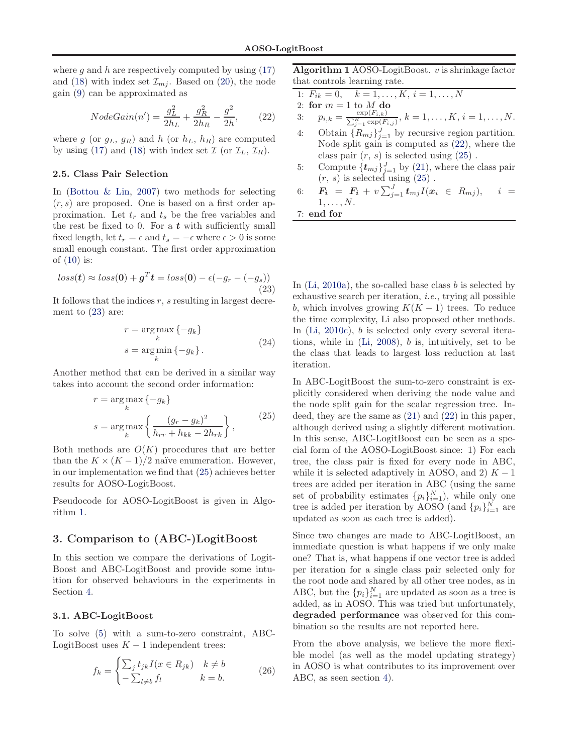<span id="page-4-0"></span>where g and h are respectively computed by using  $(17)$ and [\(18\)](#page-3-0) with index set  $\mathcal{I}_{m,i}$ . Based on [\(20\)](#page-3-0), the node gain [\(9\)](#page-2-0) can be approximated as

$$
NodeGain(n') = \frac{g_L^2}{2h_L} + \frac{g_R^2}{2h_R} - \frac{g^2}{2h},\qquad(22)
$$

where g (or  $g_L$ ,  $g_R$ ) and h (or  $h_L$ ,  $h_R$ ) are computed by using [\(17\)](#page-3-0) and [\(18\)](#page-3-0) with index set  $\mathcal{I}$  (or  $\mathcal{I}_L$ ,  $\mathcal{I}_R$ ).

#### 2.5. Class Pair Selection

In [\(Bottou & Lin](#page-7-0), [2007](#page-7-0)) two methods for selecting  $(r, s)$  are proposed. One is based on a first order approximation. Let  $t_r$  and  $t_s$  be the free variables and the rest be fixed to 0. For a  $t$  with sufficiently small fixed length, let  $t_r = \epsilon$  and  $t_s = -\epsilon$  where  $\epsilon > 0$  is some small enough constant. The first order approximation of  $(10)$  is:

$$
loss(t) \approx loss(\mathbf{0}) + \mathbf{g}^T \mathbf{t} = loss(\mathbf{0}) - \epsilon(-g_r - (-g_s))
$$
\n(23)

It follows that the indices  $r$ , s resulting in largest decrement to (23) are:

$$
r = \underset{k}{\arg\max} \{-g_k\}
$$
  
\n
$$
s = \underset{k}{\arg\min} \{-g_k\}. \tag{24}
$$

Another method that can be derived in a similar way takes into account the second order information:

$$
r = \underset{k}{\arg \max} \left\{ -g_k \right\}
$$
  

$$
s = \underset{k}{\arg \max} \left\{ \frac{(g_r - g_k)^2}{h_{rr} + h_{kk} - 2h_{rk}} \right\},
$$
 (25)

Both methods are  $O(K)$  procedures that are better than the  $K \times (K-1)/2$  naïve enumeration. However, in our implementation we find that (25) achieves better results for AOSO-LogitBoost.

Pseudocode for AOSO-LogitBoost is given in Algorithm 1.

# 3. Comparison to (ABC-)LogitBoost

In this section we compare the derivations of Logit-Boost and ABC-LogitBoost and provide some intuition for observed behaviours in the experiments in Section [4.](#page-5-0)

### 3.1. ABC-LogitBoost

To solve [\(5\)](#page-2-0) with a sum-to-zero constraint, ABC-LogitBoost uses  $K - 1$  independent trees:

$$
f_k = \begin{cases} \sum_j t_{jk} I(x \in R_{jk}) & k \neq b \\ -\sum_{l \neq b} f_l & k = b. \end{cases}
$$
 (26)

Algorithm 1 AOSO-LogitBoost.  $v$  is shrinkage factor that controls learning rate.

1: 
$$
F_{ik} = 0
$$
,  $k = 1, ..., K$ ,  $i = 1, ..., N$ 

2: for 
$$
m = 1
$$
 to  $M$  do

3:  $p_{i,k} = \frac{\exp(F_{i,k})}{\sum_{k}^{K} \exp(E_{i,k})}$  $\frac{\exp(F_{i,k})}{\sum_{j=1}^K \exp(F_{i,j})}, k = 1, \ldots, K, i = 1, \ldots, N.$ 

- 4: Obtain  $\{R_{mj}\}_{j=1}^J$  by recursive region partition. Node split gain is computed as (22), where the class pair  $(r, s)$  is selected using  $(25)$ .
- 5: Compute  $\{\boldsymbol{t}_{mj}\}_{j=1}^J$  by [\(21\)](#page-3-0), where the class pair  $(r, s)$  is selected using  $(25)$ .
- 6:  $\bm{F_{i}}$  =  $\bm{F_{i}}$  +  $v\sum_{j=1}^{J}\bm{t}_{mj}I(\bm{x}_{i}$   $\in$   $R_{mj}),$   $i$  =  $1, \ldots, N$ .

7: end for

In  $(Li, 2010a)$  $(Li, 2010a)$ , the so-called base class b is selected by exhaustive search per iteration, i.e., trying all possible b, which involves growing  $K(K-1)$  trees. To reduce the time complexity, Li also proposed other methods. In [\(Li,](#page-7-0) [2010c\)](#page-7-0), b is selected only every several iterations, while in  $(Li, 2008)$  $(Li, 2008)$  $(Li, 2008)$ , *b* is, intuitively, set to be the class that leads to largest loss reduction at last iteration.

In ABC-LogitBoost the sum-to-zero constraint is explicitly considered when deriving the node value and the node split gain for the scalar regression tree. Indeed, they are the same as [\(21\)](#page-3-0) and (22) in this paper, although derived using a slightly different motivation. In this sense, ABC-LogitBoost can be seen as a special form of the AOSO-LogitBoost since: 1) For each tree, the class pair is fixed for every node in ABC, while it is selected adaptively in AOSO, and 2)  $K - 1$ trees are added per iteration in ABC (using the same set of probability estimates  $\{p_i\}_{i=1}^N$ , while only one tree is added per iteration by AOSO (and  ${p_i}_{i=1}^N$  are updated as soon as each tree is added).

Since two changes are made to ABC-LogitBoost, an immediate question is what happens if we only make one? That is, what happens if one vector tree is added per iteration for a single class pair selected only for the root node and shared by all other tree nodes, as in ABC, but the  $\{p_i\}_{i=1}^N$  are updated as soon as a tree is added, as in AOSO. This was tried but unfortunately, degraded performance was observed for this combination so the results are not reported here.

From the above analysis, we believe the more flexible model (as well as the model updating strategy) in AOSO is what contributes to its improvement over ABC, as seen section [4\)](#page-5-0).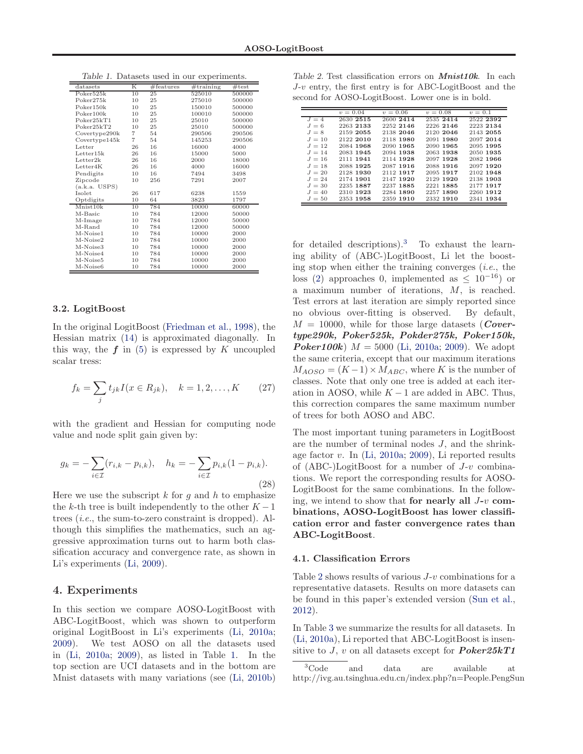| datasets              | Κ               | #features | #training | #test  |
|-----------------------|-----------------|-----------|-----------|--------|
| Poker525k             | 10              | 25        | 525010    | 500000 |
| Poker275k             | 10              | 25        | 275010    | 500000 |
| Poker150k             | 10              | 25        | 150010    | 500000 |
| Poker100k             | 10              | 25        | 100010    | 500000 |
| Poker25kT1            | 10              | 25        | 25010     | 500000 |
| Poker25kT2            | 10              | 25        | 25010     | 500000 |
| Covertype290k         | $\overline{7}$  | 54        | 290506    | 290506 |
| Covertype145k         | $\overline{7}$  | 54        | 145253    | 290506 |
| Letter                | 26              | 16        | 16000     | 4000   |
| Letter15k             | 26              | 16        | 15000     | 5000   |
| Letter2k              | 26              | 16        | 2000      | 18000  |
| Letter4K              | 26              | 16        | 4000      | 16000  |
| Pendigits             | 10              | 16        | 7494      | 3498   |
| Zipcode               | 10              | 256       | 7291      | 2007   |
| (a.k.a. <b>USPS</b> ) |                 |           |           |        |
| Isolet                | 26              | 617       | 6238      | 1559   |
| Optdigits             | 10              | 64        | 3823      | 1797   |
| Mnist10k              | $\overline{10}$ | 784       | 10000     | 60000  |
| M-Basic               | 10              | 784       | 12000     | 50000  |
| M-Image               | 10              | 784       | 12000     | 50000  |
| M-Rand                | 10              | 784       | 12000     | 50000  |
| M-Noise1              | 10              | 784       | 10000     | 2000   |
| M-Noise2              | 10              | 784       | 10000     | 2000   |
| M-Noise3              | 10              | 784       | 10000     | 2000   |
| M-Noise4              | 10              | 784       | 10000     | 2000   |
| M-Noise5              | 10              | 784       | 10000     | 2000   |
| M-Noise6              | 10              | 784       | 10000     | 2000   |

<span id="page-5-0"></span>Table 1. Datasets used in our experiments.

#### 3.2. LogitBoost

In the original LogitBoost [\(Friedman et al.](#page-7-0), [1998](#page-7-0)), the Hessian matrix [\(14\)](#page-3-0) is approximated diagonally. In this way, the  $f$  in [\(5\)](#page-2-0) is expressed by  $K$  uncoupled scalar tress:

$$
f_k = \sum_j t_{jk} I(x \in R_{jk}), \quad k = 1, 2, ..., K \qquad (27)
$$

with the gradient and Hessian for computing node value and node split gain given by:

$$
g_k = -\sum_{i \in \mathcal{I}} (r_{i,k} - p_{i,k}), \quad h_k = -\sum_{i \in \mathcal{I}} p_{i,k} (1 - p_{i,k}).
$$
\n(28)

Here we use the subscript  $k$  for  $g$  and  $h$  to emphasize the k-th tree is built independently to the other  $K-1$ trees (i.e., the sum-to-zero constraint is dropped). Although this simplifies the mathematics, such an aggressive approximation turns out to harm both classification accuracy and convergence rate, as shown in Li's experiments [\(Li](#page-7-0), [2009](#page-7-0)).

## 4. Experiments

In this section we compare AOSO-LogitBoost with ABC-LogitBoost, which was shown to outperform original LogitBoost in Li's experiments [\(Li](#page-7-0), [2010a;](#page-7-0) [2009\)](#page-7-0). We test AOSO on all the datasets used in [\(Li](#page-7-0), [2010a](#page-7-0); [2009\)](#page-7-0), as listed in Table 1. In the top section are UCI datasets and in the bottom are Mnist datasets with many variations (see [\(Li,](#page-7-0) [2010b\)](#page-7-0)

Table 2. Test classification errors on *Mnist10k*. In each J-v entry, the first entry is for ABC-LogitBoost and the second for AOSO-LogitBoost. Lower one is in bold.

|          | $v = 0.04$ | $v = 0.06$ | $v = 0.08$ | $v = 0.1$ |
|----------|------------|------------|------------|-----------|
| $J = 4$  | 2630 2515  | 2600 2414  | 2535 2414  | 2522 2392 |
| $J=6$    | 2263 2133  | 2252 2146  | 2226 2146  | 2223 2134 |
| $J = 8$  | 2159 2055  | 2138 2046  | 2120 2046  | 2143 2055 |
| $J = 10$ | 2122 2010  | 2118 1980  | 2091 1980  | 2097 2014 |
| $J = 12$ | 2084 1968  | 2090 1965  | 2090 1965  | 2095 1995 |
| $J = 14$ | 2083 1945  | 2094 1938  | 2063 1938  | 2050 1935 |
| $J = 16$ | 2111 1941  | 2114 1928  | 2097 1928  | 2082 1966 |
| $J = 18$ | 2088 1925  | 2087 1916  | 2088 1916  | 2097 1920 |
| $J = 20$ | 2128 1930  | 2112 1917  | 2095 1917  | 2102 1948 |
| $J = 24$ | 2174 1901  | 2147 1920  | 2129 1920  | 2138 1903 |
| $J=30$   | 2235 1887  | 2237 1885  | 2221 1885  | 2177 1917 |
| $J = 40$ | 2310 1923  | 2284 1890  | 2257 1890  | 2260 1912 |
| $J=50$   | 2353 1958  | 2359 1910  | 2332 1910  | 2341 1934 |

for detailed descriptions).<sup>3</sup> To exhaust the learning ability of (ABC-)LogitBoost, Li let the boosting stop when either the training converges  $(i.e.,$  the loss [\(2\)](#page-1-0) approaches 0, implemented as  $\leq 10^{-16}$  or a maximum number of iterations, M, is reached. Test errors at last iteration are simply reported since no obvious over-fitting is observed. By default,  $M = 10000$ , while for those large datasets (*Cover*type290k, Poker525k, Pokder275k, Poker150k, **Poker100k**)  $M = 5000$  [\(Li,](#page-7-0) [2010a](#page-7-0); [2009](#page-7-0)). We adopt the same criteria, except that our maximum iterations  $M_{AOSO} = (K-1) \times M_{ABC}$ , where K is the number of classes. Note that only one tree is added at each iteration in AOSO, while  $K - 1$  are added in ABC. Thus, this correction compares the same maximum number of trees for both AOSO and ABC.

The most important tuning parameters in LogitBoost are the number of terminal nodes J, and the shrinkage factor v. In [\(Li,](#page-7-0) [2010a](#page-7-0); [2009](#page-7-0)), Li reported results of (ABC-)LogitBoost for a number of  $J-v$  combinations. We report the corresponding results for AOSO-LogitBoost for the same combinations. In the following, we intend to show that for nearly all  $J$ -v combinations, AOSO-LogitBoost has lower classification error and faster convergence rates than ABC-LogitBoost.

#### 4.1. Classification Errors

Table 2 shows results of various  $J-v$  combinations for a representative datasets. Results on more datasets can be found in this paper's extended version [\(Sun et al.,](#page-7-0) [2012\)](#page-7-0).

In Table [3](#page-6-0) we summarize the results for all datasets. In [\(Li](#page-7-0), [2010a\)](#page-7-0), Li reported that ABC-LogitBoost is insensitive to J, v on all datasets except for  $\textit{Poker}25kT1$ 

<sup>3</sup>Code and data are available at http://ivg.au.tsinghua.edu.cn/index.php?n=People.PengSun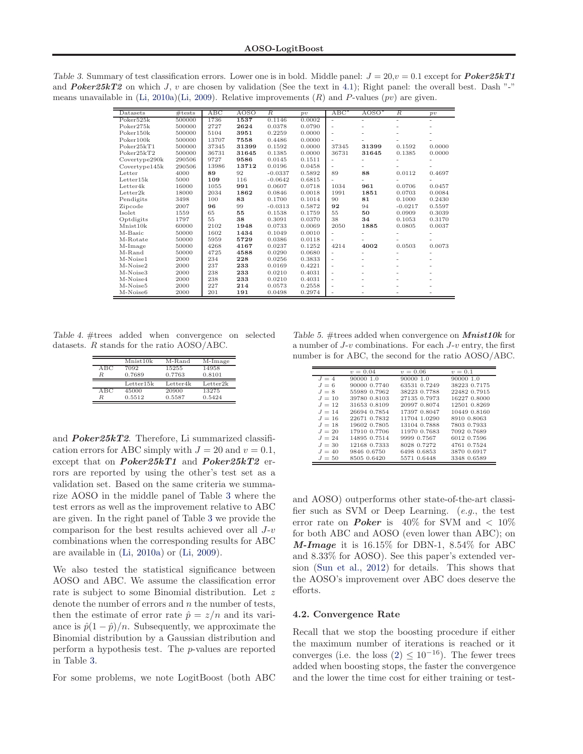<span id="page-6-0"></span>Table 3. Summary of test classification errors. Lower one is in bold. Middle panel:  $J = 20$ ,  $v = 0.1$  except for **Poker25kT1** and **Poker25kT2** on which J, v are chosen by validation (See the text in [4.1\)](#page-5-0); Right panel: the overall best. Dash "-" means unavailable in [\(Li](#page-7-0), [2010a\)\(Li](#page-7-0), [2009](#page-7-0)). Relative improvements  $(R)$  and P-values (pv) are given.

| Datasets      | #tests | ABC   | AOSO  | $\overline{R}$ | p v    | $ABC^*$                  | $AOSO^*$                 | $\overline{R}$ | p v    |
|---------------|--------|-------|-------|----------------|--------|--------------------------|--------------------------|----------------|--------|
| Poker525k     | 500000 | 1736  | 1537  | 0.1146         | 0.0002 | $\overline{\phantom{a}}$ | $\sim$                   | $\sim$         | ٠      |
| Poker275k     | 500000 | 2727  | 2624  | 0.0378         | 0.0790 |                          |                          |                |        |
| Poker150k     | 500000 | 5104  | 3951  | 0.2259         | 0.0000 |                          |                          |                |        |
| Poker100k     | 500000 | 13707 | 7558  | 0.4486         | 0.0000 |                          |                          |                |        |
| Poker25kT1    | 500000 | 37345 | 31399 | 0.1592         | 0.0000 | 37345                    | 31399                    | 0.1592         | 0.0000 |
| Poker25kT2    | 500000 | 36731 | 31645 | 0.1385         | 0.0000 | 36731                    | 31645                    | 0.1385         | 0.0000 |
| Covertype290k | 290506 | 9727  | 9586  | 0.0145         | 0.1511 |                          |                          |                |        |
| Covertype145k | 290506 | 13986 | 13712 | 0.0196         | 0.0458 | ٠                        |                          |                |        |
| Letter        | 4000   | 89    | 92    | $-0.0337$      | 0.5892 | 89                       | 88                       | 0.0112         | 0.4697 |
| Letter15k     | 5000   | 109   | 116   | $-0.0642$      | 0.6815 |                          |                          |                |        |
| Letter4k      | 16000  | 1055  | 991   | 0.0607         | 0.0718 | 1034                     | 961                      | 0.0706         | 0.0457 |
| Letter2k      | 18000  | 2034  | 1862  | 0.0846         | 0.0018 | 1991                     | 1851                     | 0.0703         | 0.0084 |
| Pendigits     | 3498   | 100   | 83    | 0.1700         | 0.1014 | 90                       | 81                       | 0.1000         | 0.2430 |
| Zipcode       | 2007   | 96    | 99    | $-0.0313$      | 0.5872 | 92                       | 94                       | $-0.0217$      | 0.5597 |
| Isolet        | 1559   | 65    | 55    | 0.1538         | 0.1759 | 55                       | 50                       | 0.0909         | 0.3039 |
| Optdigits     | 1797   | 55    | 38    | 0.3091         | 0.0370 | 38                       | 34                       | 0.1053         | 0.3170 |
| Mnist10k      | 60000  | 2102  | 1948  | 0.0733         | 0.0069 | 2050                     | 1885                     | 0.0805         | 0.0037 |
| M-Basic       | 50000  | 1602  | 1434  | 0.1049         | 0.0010 |                          |                          |                |        |
| M-Rotate      | 50000  | 5959  | 5729  | 0.0386         | 0.0118 |                          |                          |                |        |
| M-Image       | 50000  | 4268  | 4167  | 0.0237         | 0.1252 | 4214                     | 4002                     | 0.0503         | 0.0073 |
| M-Rand        | 50000  | 4725  | 4588  | 0.0290         | 0.0680 |                          |                          |                |        |
| M-Noise1      | 2000   | 234   | 228   | 0.0256         | 0.3833 | $\sim$                   | $\overline{\phantom{a}}$ |                |        |
| M-Noise2      | 2000   | 237   | 233   | 0.0169         | 0.4221 | ٠                        |                          |                |        |
| M-Noise3      | 2000   | 238   | 233   | 0.0210         | 0.4031 |                          |                          |                |        |
| M-Noise4      | 2000   | 238   | 233   | 0.0210         | 0.4031 | ٠                        |                          |                |        |
| M-Noise5      | 2000   | 227   | 214   | 0.0573         | 0.2558 |                          |                          |                |        |
| M-Noise6      | 2000   | 201   | 191   | 0.0498         | 0.2974 |                          |                          |                |        |

Table 4. #trees added when convergence on selected datasets. R stands for the ratio AOSO/ABC.

|     | $\overline{\text{Mnist}}$ 10 $k$ | M-Rand   | $M-Image$ |
|-----|----------------------------------|----------|-----------|
| ABC | 7092                             | 15255    | 14958     |
| R   | 0.7689                           | 0.7763   | 0.8101    |
|     |                                  |          |           |
|     | Letter15k                        | Letter4k | Letter2k  |
| ABC | 45000                            | 20900    | 13275     |

and  $Poker25kT2$ . Therefore, Li summarized classification errors for ABC simply with  $J = 20$  and  $v = 0.1$ , except that on  $Poker25kT1$  and  $Poker25kT2$  errors are reported by using the other's test set as a validation set. Based on the same criteria we summarize AOSO in the middle panel of Table 3 where the test errors as well as the improvement relative to ABC are given. In the right panel of Table 3 we provide the comparison for the best results achieved over all J-v combinations when the corresponding results for ABC are available in [\(Li,](#page-7-0) [2010a\)](#page-7-0) or [\(Li,](#page-7-0) [2009](#page-7-0)).

We also tested the statistical significance between AOSO and ABC. We assume the classification error rate is subject to some Binomial distribution. Let z denote the number of errors and  $n$  the number of tests, then the estimate of error rate  $\hat{p} = z/n$  and its variance is  $\hat{p}(1-\hat{p})/n$ . Subsequently, we approximate the Binomial distribution by a Gaussian distribution and perform a hypothesis test. The p-values are reported in Table 3.

For some problems, we note LogitBoost (both ABC

Table 5. #trees added when convergence on  $Mnist10k$  for a number of  $J$ - $v$  combinations. For each  $J$ - $v$  entry, the first number is for ABC, the second for the ratio AOSO/ABC.

|          | $v = 0.04$   | $v = 0.06$   | $v = 0.1$    |
|----------|--------------|--------------|--------------|
| $J = 4$  | 90000 1.0    | 90000 1.0    | 90000 1.0    |
| $J=6$    | 90000 0.7740 | 63531 0.7249 | 38223 0.7175 |
| $J = 8$  | 55989 0.7962 | 38223 0.7788 | 22482 0.7915 |
| $J = 10$ | 39780 0.8103 | 27135 0.7973 | 16227 0.8000 |
| $J = 12$ | 31653 0.8109 | 20997 0.8074 | 12501 0.8269 |
| $J = 14$ | 26694 0.7854 | 17397 0.8047 | 10449 0.8160 |
| $J = 16$ | 22671 0.7832 | 11704 1.0290 | 8910 0.8063  |
| $J = 18$ | 19602 0.7805 | 13104 0.7888 | 7803 0.7933  |
| $J = 20$ | 17910 0.7706 | 11970 0.7683 | 7092 0.7689  |
| $J = 24$ | 14895 0.7514 | 9999 0.7567  | 6012 0.7596  |
| $J = 30$ | 12168 0.7333 | 8028 0.7272  | 4761 0.7524  |
| $J = 40$ | 9846 0.6750  | 6498 0.6853  | 3870 0.6917  |
| $J=50$   | 8505 0.6420  | 5571 0.6448  | 3348 0.6589  |

and AOSO) outperforms other state-of-the-art classifier such as SVM or Deep Learning. (e.g., the test error rate on **Poker** is 40% for SVM and  $\langle 10\%$ for both ABC and AOSO (even lower than ABC); on **M-Image** it is  $16.15\%$  for DBN-1,  $8.54\%$  for ABC and 8.33% for AOSO). See this paper's extended version [\(Sun et al.,](#page-7-0) [2012](#page-7-0)) for details. This shows that the AOSO's improvement over ABC does deserve the efforts.

#### 4.2. Convergence Rate

Recall that we stop the boosting procedure if either the maximum number of iterations is reached or it converges (i.e. the loss  $(2) \leq 10^{-16}$ ). The fewer trees added when boosting stops, the faster the convergence and the lower the time cost for either training or test-